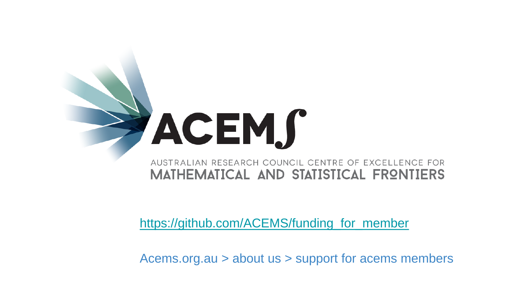

[https://github.com/ACEMS/funding\\_for\\_member](https://github.com/ACEMS/funding_for_member)

Acems.org.au > about us > support for acems members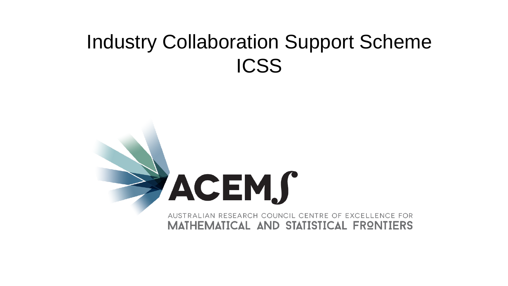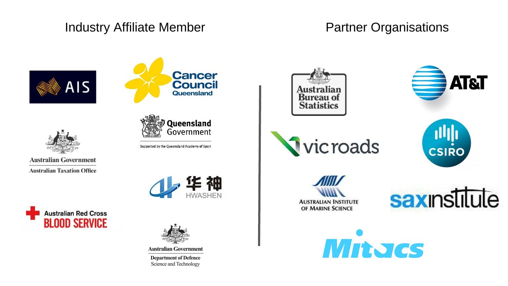### Industry Affiliate Member **Partner Organisations**







**Australian Government Australian Taxation Office** 



Supported by the Queensland Academy of Sport







**Australian Government** 

**Department of Defence** Science and Technology











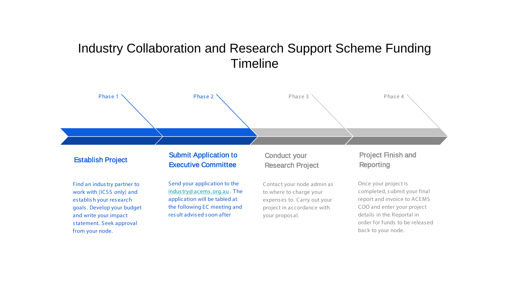### Industry Collaboration and Research Support Scheme Funding Timeline



#### Establish Project

Find an indus try partner to work with (ICSS only) and es tablis h your res earch goals . Develop your budget and write your impact s tatement. Seek approval from your node.

#### Submit Application to Executive Committee

Send your application to the [indus try@ acems .org.au](mailto:industry@acems.org.au) . The application will be tabled at the following EC meeting and res ult advis ed s oon after

#### Conduct your Research Project

Contact your node admin as to where to charge your expens es to. Carry out your project in accordance with your propos al.

#### Project Finish and Reporting

Once your project is completed, s ubmit your final report and invoice to ACEMS COO and enter your project details in the Reportal in order for funds to be releas ed back to your node.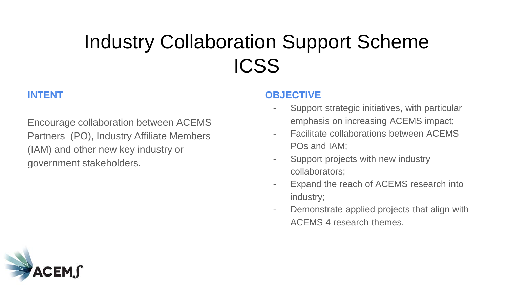### **INTENT**

Encourage collaboration between ACEMS Partners (PO), Industry Affiliate Members (IAM) and other new key industry or government stakeholders.

#### **OBJECTIVE**

- Support strategic initiatives, with particular emphasis on increasing ACEMS impact;
- Facilitate collaborations between ACEMS POs and IAM;
- Support projects with new industry collaborators;
- Expand the reach of ACEMS research into industry;
- Demonstrate applied projects that align with ACEMS 4 research themes.

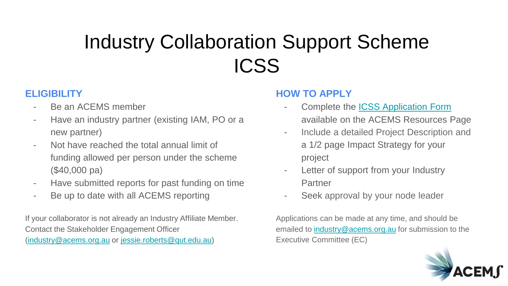### **ELIGIBILITY**

- Be an ACEMS member
- Have an industry partner (existing IAM, PO or a new partner)
- Not have reached the total annual limit of funding allowed per person under the scheme (\$40,000 pa)
- Have submitted reports for past funding on time
- Be up to date with all ACEMS reporting

If your collaborator is not already an Industry Affiliate Member. Contact the Stakeholder Engagement Officer [\(industry@acems.org.au](mailto:industry@acems.org.au) or [jessie.roberts@qut.edu.au\)](mailto:jessie.roberts@qut.edu.au)

#### **HOW TO APPLY**

- Complete the **ICSS** Application Form available on the ACEMS Resources Page
- Include a detailed Project Description and a 1/2 page Impact Strategy for your project
- Letter of support from your Industry Partner
- Seek approval by your node leader

Applications can be made at any time, and should be emailed to [industry@acems.org.au](mailto:industry@acems.org.au) for submission to the Executive Committee (EC)

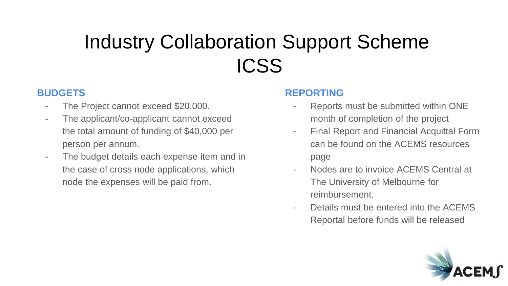### **BUDGETS**

- The Project cannot exceed \$20,000.
- The applicant/co-applicant cannot exceed the total amount of funding of \$40,000 per person per annum.
- The budget details each expense item and in the case of cross node applications, which node the expenses will be paid from.

#### **REPORTING**

- Reports must be submitted within ONE month of completion of the project
- Final Report and Financial Acquittal Form can be found on the ACEMS resources page
- Nodes are to invoice ACEMS Central at The University of Melbourne for reimbursement.
- Details must be entered into the ACEMS Reportal before funds will be released